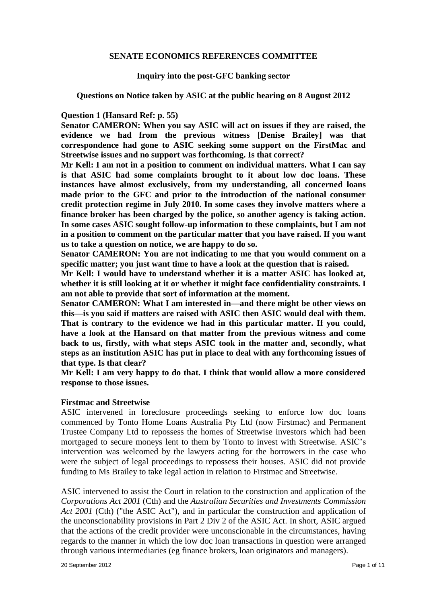### **SENATE ECONOMICS REFERENCES COMMITTEE**

### **Inquiry into the post-GFC banking sector**

**Questions on Notice taken by ASIC at the public hearing on 8 August 2012**

### **Question 1 (Hansard Ref: p. 55)**

**Senator CAMERON: When you say ASIC will act on issues if they are raised, the evidence we had from the previous witness [Denise Brailey] was that correspondence had gone to ASIC seeking some support on the FirstMac and Streetwise issues and no support was forthcoming. Is that correct?** 

**Mr Kell: I am not in a position to comment on individual matters. What I can say is that ASIC had some complaints brought to it about low doc loans. These instances have almost exclusively, from my understanding, all concerned loans made prior to the GFC and prior to the introduction of the national consumer credit protection regime in July 2010. In some cases they involve matters where a finance broker has been charged by the police, so another agency is taking action. In some cases ASIC sought follow-up information to these complaints, but I am not in a position to comment on the particular matter that you have raised. If you want us to take a question on notice, we are happy to do so.** 

**Senator CAMERON: You are not indicating to me that you would comment on a specific matter; you just want time to have a look at the question that is raised.** 

**Mr Kell: I would have to understand whether it is a matter ASIC has looked at, whether it is still looking at it or whether it might face confidentiality constraints. I am not able to provide that sort of information at the moment.** 

**Senator CAMERON: What I am interested in—and there might be other views on this—is you said if matters are raised with ASIC then ASIC would deal with them. That is contrary to the evidence we had in this particular matter. If you could, have a look at the Hansard on that matter from the previous witness and come back to us, firstly, with what steps ASIC took in the matter and, secondly, what steps as an institution ASIC has put in place to deal with any forthcoming issues of that type. Is that clear?** 

**Mr Kell: I am very happy to do that. I think that would allow a more considered response to those issues.**

# **Firstmac and Streetwise**

ASIC intervened in foreclosure proceedings seeking to enforce low doc loans commenced by Tonto Home Loans Australia Pty Ltd (now Firstmac) and Permanent Trustee Company Ltd to repossess the homes of Streetwise investors which had been mortgaged to secure moneys lent to them by Tonto to invest with Streetwise. ASIC's intervention was welcomed by the lawyers acting for the borrowers in the case who were the subject of legal proceedings to repossess their houses. ASIC did not provide funding to Ms Brailey to take legal action in relation to Firstmac and Streetwise.

ASIC intervened to assist the Court in relation to the construction and application of the *Corporations Act 2001* (Cth) and the *Australian Securities and Investments Commission Act 2001* (Cth) ("the ASIC Act"), and in particular the construction and application of the unconscionability provisions in Part 2 Div 2 of the ASIC Act. In short, ASIC argued that the actions of the credit provider were unconscionable in the circumstances, having regards to the manner in which the low doc loan transactions in question were arranged through various intermediaries (eg finance brokers, loan originators and managers).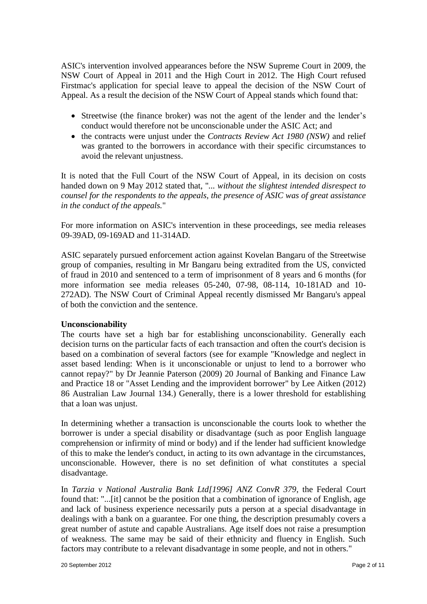ASIC's intervention involved appearances before the NSW Supreme Court in 2009, the NSW Court of Appeal in 2011 and the High Court in 2012. The High Court refused Firstmac's application for special leave to appeal the decision of the NSW Court of Appeal. As a result the decision of the NSW Court of Appeal stands which found that:

- Streetwise (the finance broker) was not the agent of the lender and the lender's conduct would therefore not be unconscionable under the ASIC Act; and
- the contracts were unjust under the *Contracts Review Act 1980 (NSW)* and relief was granted to the borrowers in accordance with their specific circumstances to avoid the relevant unjustness.

It is noted that the Full Court of the NSW Court of Appeal, in its decision on costs handed down on 9 May 2012 stated that, "*... without the slightest intended disrespect to counsel for the respondents to the appeals, the presence of ASIC was of great assistance in the conduct of the appeals.*"

For more information on ASIC's intervention in these proceedings, see media releases 09-39AD, 09-169AD and 11-314AD.

ASIC separately pursued enforcement action against Kovelan Bangaru of the Streetwise group of companies, resulting in Mr Bangaru being extradited from the US, convicted of fraud in 2010 and sentenced to a term of imprisonment of 8 years and 6 months (for more information see media releases 05-240, 07-98, 08-114, 10-181AD and 10- 272AD). The NSW Court of Criminal Appeal recently dismissed Mr Bangaru's appeal of both the conviction and the sentence.

# **Unconscionability**

The courts have set a high bar for establishing unconscionability. Generally each decision turns on the particular facts of each transaction and often the court's decision is based on a combination of several factors (see for example "Knowledge and neglect in asset based lending: When is it unconscionable or unjust to lend to a borrower who cannot repay?" by Dr Jeannie Paterson (2009) 20 Journal of Banking and Finance Law and Practice 18 or "Asset Lending and the improvident borrower" by Lee Aitken (2012) 86 Australian Law Journal 134.) Generally, there is a lower threshold for establishing that a loan was unjust.

In determining whether a transaction is unconscionable the courts look to whether the borrower is under a special disability or disadvantage (such as poor English language comprehension or infirmity of mind or body) and if the lender had sufficient knowledge of this to make the lender's conduct, in acting to its own advantage in the circumstances, unconscionable. However, there is no set definition of what constitutes a special disadvantage.

In *Tarzia v National Australia Bank Ltd[1996] ANZ ConvR 379*, the Federal Court found that: "...[it] cannot be the position that a combination of ignorance of English, age and lack of business experience necessarily puts a person at a special disadvantage in dealings with a bank on a guarantee. For one thing, the description presumably covers a great number of astute and capable Australians. Age itself does not raise a presumption of weakness. The same may be said of their ethnicity and fluency in English. Such factors may contribute to a relevant disadvantage in some people, and not in others."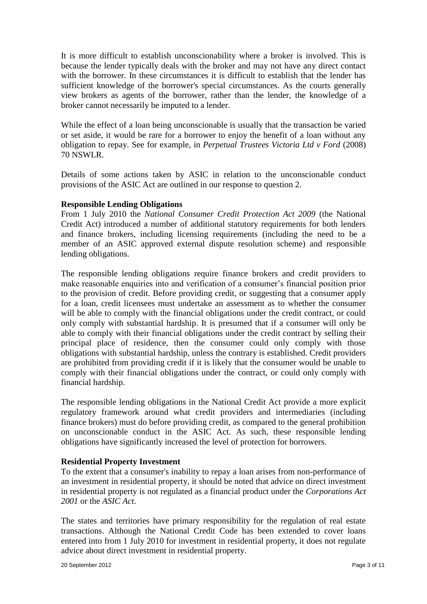It is more difficult to establish unconscionability where a broker is involved. This is because the lender typically deals with the broker and may not have any direct contact with the borrower. In these circumstances it is difficult to establish that the lender has sufficient knowledge of the borrower's special circumstances. As the courts generally view brokers as agents of the borrower, rather than the lender, the knowledge of a broker cannot necessarily be imputed to a lender.

While the effect of a loan being unconscionable is usually that the transaction be varied or set aside, it would be rare for a borrower to enjoy the benefit of a loan without any obligation to repay. See for example, in *Perpetual Trustees Victoria Ltd v Ford* (2008) 70 NSWLR.

Details of some actions taken by ASIC in relation to the unconscionable conduct provisions of the ASIC Act are outlined in our response to question 2.

# **Responsible Lending Obligations**

From 1 July 2010 the *National Consumer Credit Protection Act 2009* (the National Credit Act) introduced a number of additional statutory requirements for both lenders and finance brokers, including licensing requirements (including the need to be a member of an ASIC approved external dispute resolution scheme) and responsible lending obligations.

The responsible lending obligations require finance brokers and credit providers to make reasonable enquiries into and verification of a consumer's financial position prior to the provision of credit. Before providing credit, or suggesting that a consumer apply for a loan, credit licensees must undertake an assessment as to whether the consumer will be able to comply with the financial obligations under the credit contract, or could only comply with substantial hardship. It is presumed that if a consumer will only be able to comply with their financial obligations under the credit contract by selling their principal place of residence, then the consumer could only comply with those obligations with substantial hardship, unless the contrary is established. Credit providers are prohibited from providing credit if it is likely that the consumer would be unable to comply with their financial obligations under the contract, or could only comply with financial hardship.

The responsible lending obligations in the National Credit Act provide a more explicit regulatory framework around what credit providers and intermediaries (including finance brokers) must do before providing credit, as compared to the general prohibition on unconscionable conduct in the ASIC Act. As such, these responsible lending obligations have significantly increased the level of protection for borrowers.

# **Residential Property Investment**

To the extent that a consumer's inability to repay a loan arises from non-performance of an investment in residential property, it should be noted that advice on direct investment in residential property is not regulated as a financial product under the *Corporations Act 2001* or the *ASIC Act*.

The states and territories have primary responsibility for the regulation of real estate transactions. Although the National Credit Code has been extended to cover loans entered into from 1 July 2010 for investment in residential property, it does not regulate advice about direct investment in residential property.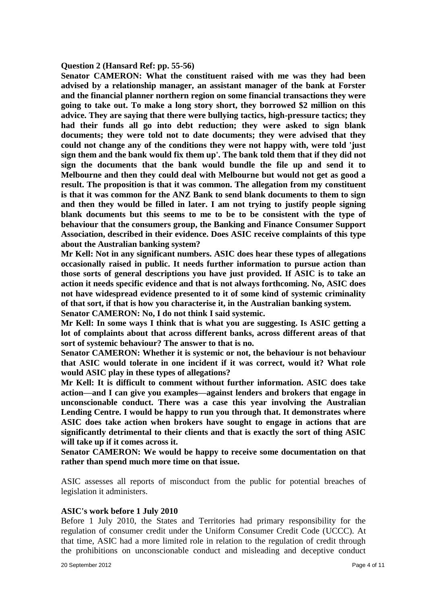#### **Question 2 (Hansard Ref: pp. 55-56)**

**Senator CAMERON: What the constituent raised with me was they had been advised by a relationship manager, an assistant manager of the bank at Forster and the financial planner northern region on some financial transactions they were going to take out. To make a long story short, they borrowed \$2 million on this advice. They are saying that there were bullying tactics, high-pressure tactics; they had their funds all go into debt reduction; they were asked to sign blank documents; they were told not to date documents; they were advised that they could not change any of the conditions they were not happy with, were told 'just sign them and the bank would fix them up'. The bank told them that if they did not sign the documents that the bank would bundle the file up and send it to Melbourne and then they could deal with Melbourne but would not get as good a result. The proposition is that it was common. The allegation from my constituent is that it was common for the ANZ Bank to send blank documents to them to sign and then they would be filled in later. I am not trying to justify people signing blank documents but this seems to me to be to be consistent with the type of behaviour that the consumers group, the Banking and Finance Consumer Support Association, described in their evidence. Does ASIC receive complaints of this type about the Australian banking system?** 

**Mr Kell: Not in any significant numbers. ASIC does hear these types of allegations occasionally raised in public. It needs further information to pursue action than those sorts of general descriptions you have just provided. If ASIC is to take an action it needs specific evidence and that is not always forthcoming. No, ASIC does not have widespread evidence presented to it of some kind of systemic criminality of that sort, if that is how you characterise it, in the Australian banking system. Senator CAMERON: No, I do not think I said systemic.** 

**Mr Kell: In some ways I think that is what you are suggesting. Is ASIC getting a lot of complaints about that across different banks, across different areas of that** 

**sort of systemic behaviour? The answer to that is no.** 

**Senator CAMERON: Whether it is systemic or not, the behaviour is not behaviour that ASIC would tolerate in one incident if it was correct, would it? What role would ASIC play in these types of allegations?** 

**Mr Kell: It is difficult to comment without further information. ASIC does take action—and I can give you examples—against lenders and brokers that engage in unconscionable conduct. There was a case this year involving the Australian Lending Centre. I would be happy to run you through that. It demonstrates where ASIC does take action when brokers have sought to engage in actions that are significantly detrimental to their clients and that is exactly the sort of thing ASIC will take up if it comes across it.**

**Senator CAMERON: We would be happy to receive some documentation on that rather than spend much more time on that issue.**

ASIC assesses all reports of misconduct from the public for potential breaches of legislation it administers.

#### **ASIC's work before 1 July 2010**

Before 1 July 2010, the States and Territories had primary responsibility for the regulation of consumer credit under the Uniform Consumer Credit Code (UCCC). At that time, ASIC had a more limited role in relation to the regulation of credit through the prohibitions on unconscionable conduct and misleading and deceptive conduct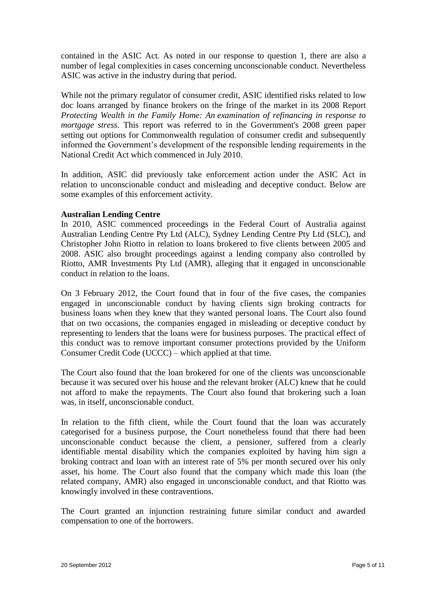contained in the ASIC Act. As noted in our response to question 1, there are also a number of legal complexities in cases concerning unconscionable conduct. Nevertheless ASIC was active in the industry during that period.

While not the primary regulator of consumer credit, ASIC identified risks related to low doc loans arranged by finance brokers on the fringe of the market in its 2008 Report *Protecting Wealth in the Family Home: An examination of refinancing in response to mortgage stress*. This report was referred to in the Government's 2008 green paper setting out options for Commonwealth regulation of consumer credit and subsequently informed the Government's development of the responsible lending requirements in the National Credit Act which commenced in July 2010.

In addition, ASIC did previously take enforcement action under the ASIC Act in relation to unconscionable conduct and misleading and deceptive conduct. Below are some examples of this enforcement activity.

# **Australian Lending Centre**

In 2010, ASIC commenced proceedings in the Federal Court of Australia against Australian Lending Centre Pty Ltd (ALC), Sydney Lending Centre Pty Ltd (SLC), and Christopher John Riotto in relation to loans brokered to five clients between 2005 and 2008. ASIC also brought proceedings against a lending company also controlled by Riotto, AMR Investments Pty Ltd (AMR), alleging that it engaged in unconscionable conduct in relation to the loans.

On 3 February 2012, the Court found that in four of the five cases, the companies engaged in unconscionable conduct by having clients sign broking contracts for business loans when they knew that they wanted personal loans. The Court also found that on two occasions, the companies engaged in misleading or deceptive conduct by representing to lenders that the loans were for business purposes. The practical effect of this conduct was to remove important consumer protections provided by the Uniform Consumer Credit Code (UCCC) – which applied at that time.

The Court also found that the loan brokered for one of the clients was unconscionable because it was secured over his house and the relevant broker (ALC) knew that he could not afford to make the repayments. The Court also found that brokering such a loan was, in itself, unconscionable conduct.

In relation to the fifth client, while the Court found that the loan was accurately categorised for a business purpose, the Court nonetheless found that there had been unconscionable conduct because the client, a pensioner, suffered from a clearly identifiable mental disability which the companies exploited by having him sign a broking contract and loan with an interest rate of 5% per month secured over his only asset, his home. The Court also found that the company which made this loan (the related company, AMR) also engaged in unconscionable conduct, and that Riotto was knowingly involved in these contraventions.

The Court granted an injunction restraining future similar conduct and awarded compensation to one of the borrowers.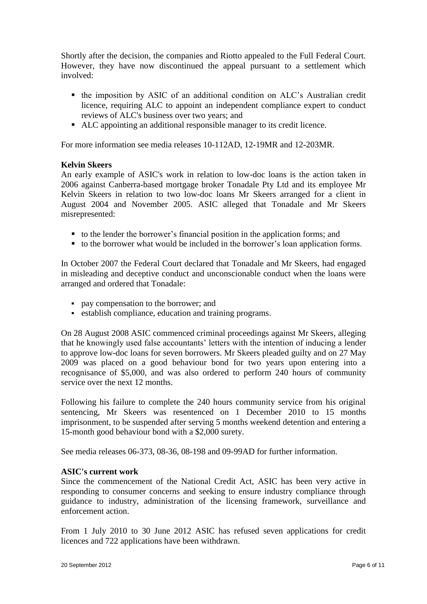Shortly after the decision, the companies and Riotto appealed to the Full Federal Court. However, they have now discontinued the appeal pursuant to a settlement which involved:

- the imposition by ASIC of an additional condition on ALC's Australian credit licence, requiring ALC to appoint an independent compliance expert to conduct reviews of ALC's business over two years; and
- ALC appointing an additional responsible manager to its credit licence.

For more information see media releases 10-112AD, 12-19MR and 12-203MR.

# **Kelvin Skeers**

An early example of ASIC's work in relation to low-doc loans is the action taken in 2006 against Canberra-based mortgage broker Tonadale Pty Ltd and its employee Mr Kelvin Skeers in relation to two low-doc loans Mr Skeers arranged for a client in August 2004 and November 2005. ASIC alleged that Tonadale and Mr Skeers misrepresented:

- to the lender the borrower's financial position in the application forms; and
- to the borrower what would be included in the borrower's loan application forms.

In October 2007 the Federal Court declared that Tonadale and Mr Skeers, had engaged in misleading and deceptive conduct and unconscionable conduct when the loans were arranged and ordered that Tonadale:

- pay compensation to the borrower; and
- establish compliance, education and training programs.

On 28 August 2008 ASIC commenced criminal proceedings against Mr Skeers, alleging that he knowingly used false accountants' letters with the intention of inducing a lender to approve low-doc loans for seven borrowers. Mr Skeers pleaded guilty and on 27 May 2009 was placed on a good behaviour bond for two years upon entering into a recognisance of \$5,000, and was also ordered to perform 240 hours of community service over the next 12 months.

Following his failure to complete the 240 hours community service from his original sentencing, Mr Skeers was resentenced on 1 December 2010 to 15 months imprisonment, to be suspended after serving 5 months weekend detention and entering a 15-month good behaviour bond with a \$2,000 surety.

See media releases 06-373, 08-36, 08-198 and 09-99AD for further information.

# **ASIC's current work**

Since the commencement of the National Credit Act, ASIC has been very active in responding to consumer concerns and seeking to ensure industry compliance through guidance to industry, administration of the licensing framework, surveillance and enforcement action.

From 1 July 2010 to 30 June 2012 ASIC has refused seven applications for credit licences and 722 applications have been withdrawn.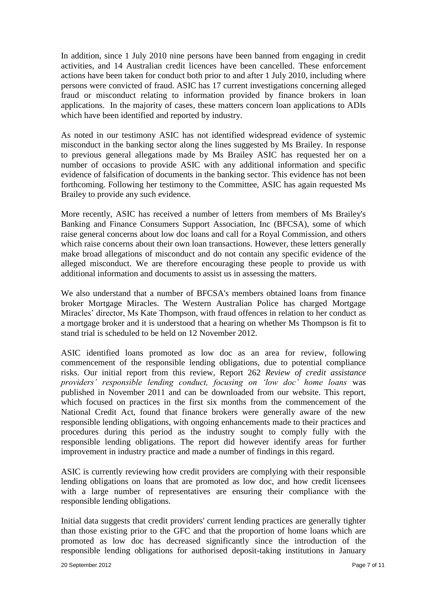In addition, since 1 July 2010 nine persons have been banned from engaging in credit activities, and 14 Australian credit licences have been cancelled. These enforcement actions have been taken for conduct both prior to and after 1 July 2010, including where persons were convicted of fraud. ASIC has 17 current investigations concerning alleged fraud or misconduct relating to information provided by finance brokers in loan applications. In the majority of cases, these matters concern loan applications to ADIs which have been identified and reported by industry.

As noted in our testimony ASIC has not identified widespread evidence of systemic misconduct in the banking sector along the lines suggested by Ms Brailey. In response to previous general allegations made by Ms Brailey ASIC has requested her on a number of occasions to provide ASIC with any additional information and specific evidence of falsification of documents in the banking sector. This evidence has not been forthcoming. Following her testimony to the Committee, ASIC has again requested Ms Brailey to provide any such evidence.

More recently, ASIC has received a number of letters from members of Ms Brailey's Banking and Finance Consumers Support Association, Inc (BFCSA), some of which raise general concerns about low doc loans and call for a Royal Commission, and others which raise concerns about their own loan transactions. However, these letters generally make broad allegations of misconduct and do not contain any specific evidence of the alleged misconduct. We are therefore encouraging these people to provide us with additional information and documents to assist us in assessing the matters.

We also understand that a number of BFCSA's members obtained loans from finance broker Mortgage Miracles. The Western Australian Police has charged Mortgage Miracles' director, Ms Kate Thompson, with fraud offences in relation to her conduct as a mortgage broker and it is understood that a hearing on whether Ms Thompson is fit to stand trial is scheduled to be held on 12 November 2012.

ASIC identified loans promoted as low doc as an area for review, following commencement of the responsible lending obligations, due to potential compliance risks. Our initial report from this review, Report 262 *Review of credit assistance providers' responsible lending conduct, focusing on 'low doc' home loans* was published in November 2011 and can be downloaded from our website. This report, which focused on practices in the first six months from the commencement of the National Credit Act, found that finance brokers were generally aware of the new responsible lending obligations, with ongoing enhancements made to their practices and procedures during this period as the industry sought to comply fully with the responsible lending obligations. The report did however identify areas for further improvement in industry practice and made a number of findings in this regard.

ASIC is currently reviewing how credit providers are complying with their responsible lending obligations on loans that are promoted as low doc, and how credit licensees with a large number of representatives are ensuring their compliance with the responsible lending obligations.

Initial data suggests that credit providers' current lending practices are generally tighter than those existing prior to the GFC and that the proportion of home loans which are promoted as low doc has decreased significantly since the introduction of the responsible lending obligations for authorised deposit-taking institutions in January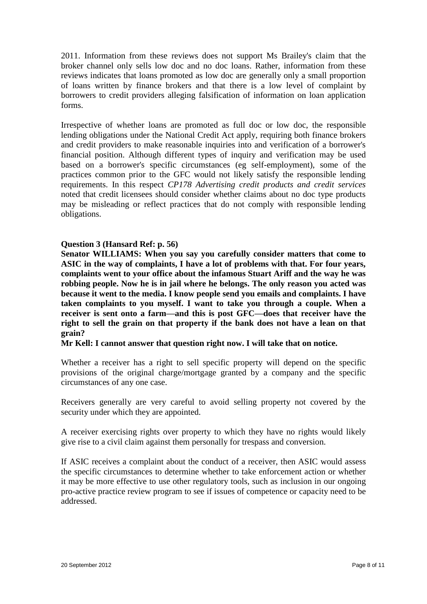2011. Information from these reviews does not support Ms Brailey's claim that the broker channel only sells low doc and no doc loans. Rather, information from these reviews indicates that loans promoted as low doc are generally only a small proportion of loans written by finance brokers and that there is a low level of complaint by borrowers to credit providers alleging falsification of information on loan application forms.

Irrespective of whether loans are promoted as full doc or low doc, the responsible lending obligations under the National Credit Act apply, requiring both finance brokers and credit providers to make reasonable inquiries into and verification of a borrower's financial position. Although different types of inquiry and verification may be used based on a borrower's specific circumstances (eg self-employment), some of the practices common prior to the GFC would not likely satisfy the responsible lending requirements. In this respect *CP178 Advertising credit products and credit services* noted that credit licensees should consider whether claims about no doc type products may be misleading or reflect practices that do not comply with responsible lending obligations.

# **Question 3 (Hansard Ref: p. 56)**

**Senator WILLIAMS: When you say you carefully consider matters that come to ASIC in the way of complaints, I have a lot of problems with that. For four years, complaints went to your office about the infamous Stuart Ariff and the way he was robbing people. Now he is in jail where he belongs. The only reason you acted was because it went to the media. I know people send you emails and complaints. I have taken complaints to you myself. I want to take you through a couple. When a receiver is sent onto a farm—and this is post GFC—does that receiver have the right to sell the grain on that property if the bank does not have a lean on that grain?** 

**Mr Kell: I cannot answer that question right now. I will take that on notice.**

Whether a receiver has a right to sell specific property will depend on the specific provisions of the original charge/mortgage granted by a company and the specific circumstances of any one case.

Receivers generally are very careful to avoid selling property not covered by the security under which they are appointed.

A receiver exercising rights over property to which they have no rights would likely give rise to a civil claim against them personally for trespass and conversion.

If ASIC receives a complaint about the conduct of a receiver, then ASIC would assess the specific circumstances to determine whether to take enforcement action or whether it may be more effective to use other regulatory tools, such as inclusion in our ongoing pro-active practice review program to see if issues of competence or capacity need to be addressed.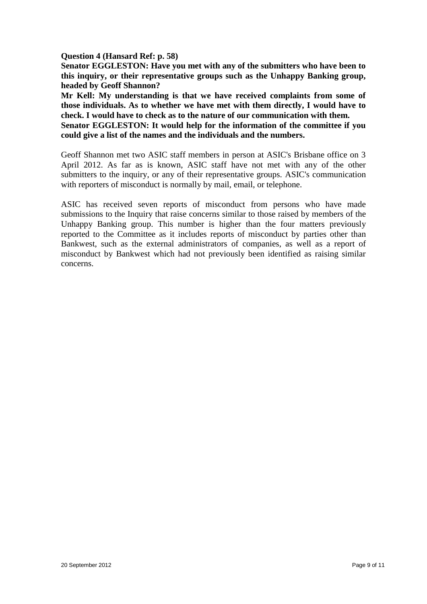**Question 4 (Hansard Ref: p. 58)**

**Senator EGGLESTON: Have you met with any of the submitters who have been to this inquiry, or their representative groups such as the Unhappy Banking group, headed by Geoff Shannon?** 

**Mr Kell: My understanding is that we have received complaints from some of those individuals. As to whether we have met with them directly, I would have to check. I would have to check as to the nature of our communication with them.** 

**Senator EGGLESTON: It would help for the information of the committee if you could give a list of the names and the individuals and the numbers.**

Geoff Shannon met two ASIC staff members in person at ASIC's Brisbane office on 3 April 2012. As far as is known, ASIC staff have not met with any of the other submitters to the inquiry, or any of their representative groups. ASIC's communication with reporters of misconduct is normally by mail, email, or telephone.

ASIC has received seven reports of misconduct from persons who have made submissions to the Inquiry that raise concerns similar to those raised by members of the Unhappy Banking group. This number is higher than the four matters previously reported to the Committee as it includes reports of misconduct by parties other than Bankwest, such as the external administrators of companies, as well as a report of misconduct by Bankwest which had not previously been identified as raising similar concerns.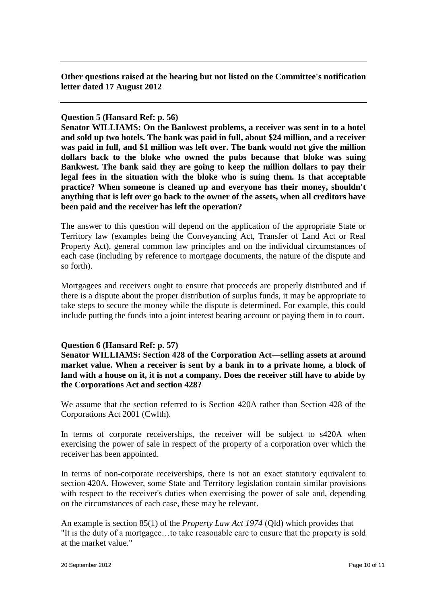**Other questions raised at the hearing but not listed on the Committee's notification letter dated 17 August 2012**

### **Question 5 (Hansard Ref: p. 56)**

**Senator WILLIAMS: On the Bankwest problems, a receiver was sent in to a hotel and sold up two hotels. The bank was paid in full, about \$24 million, and a receiver was paid in full, and \$1 million was left over. The bank would not give the million dollars back to the bloke who owned the pubs because that bloke was suing Bankwest. The bank said they are going to keep the million dollars to pay their legal fees in the situation with the bloke who is suing them. Is that acceptable practice? When someone is cleaned up and everyone has their money, shouldn't anything that is left over go back to the owner of the assets, when all creditors have been paid and the receiver has left the operation?** 

The answer to this question will depend on the application of the appropriate State or Territory law (examples being the Conveyancing Act, Transfer of Land Act or Real Property Act), general common law principles and on the individual circumstances of each case (including by reference to mortgage documents, the nature of the dispute and so forth).

Mortgagees and receivers ought to ensure that proceeds are properly distributed and if there is a dispute about the proper distribution of surplus funds, it may be appropriate to take steps to secure the money while the dispute is determined. For example, this could include putting the funds into a joint interest bearing account or paying them in to court.

# **Question 6 (Hansard Ref: p. 57)**

**Senator WILLIAMS: Section 428 of the Corporation Act—selling assets at around market value. When a receiver is sent by a bank in to a private home, a block of land with a house on it, it is not a company. Does the receiver still have to abide by the Corporations Act and section 428?** 

We assume that the section referred to is Section 420A rather than Section 428 of the Corporations Act 2001 (Cwlth).

In terms of corporate receiverships, the receiver will be subject to s420A when exercising the power of sale in respect of the property of a corporation over which the receiver has been appointed.

In terms of non-corporate receiverships, there is not an exact statutory equivalent to section 420A. However, some State and Territory legislation contain similar provisions with respect to the receiver's duties when exercising the power of sale and, depending on the circumstances of each case, these may be relevant.

An example is section 85(1) of the *Property Law Act 1974* (Qld) which provides that "It is the duty of a mortgagee…to take reasonable care to ensure that the property is sold at the market value."